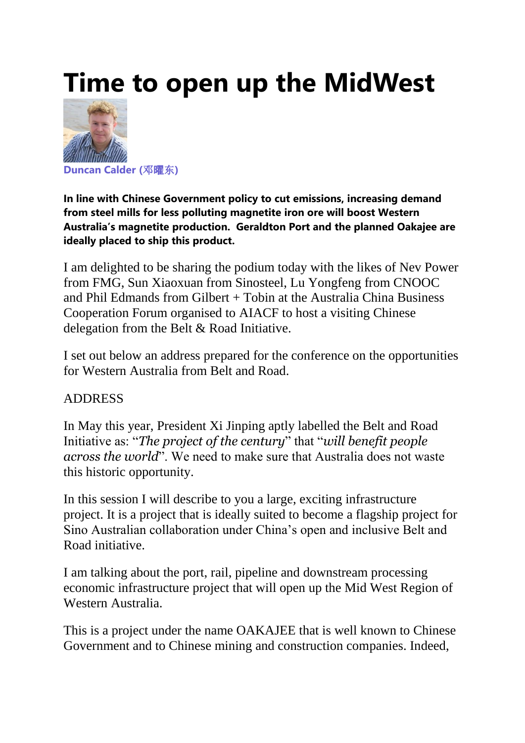# **Time to open up the MidWest**



**[Duncan](https://www.linkedin.com/in/duncan-calder-%E9%82%93%E6%9B%9C%E4%B8%9C-6152251b/) Calder (**邓曜东**)**

**In line with Chinese Government policy to cut emissions, increasing demand from steel mills for less polluting magnetite iron ore will boost Western Australia's magnetite production. Geraldton Port and the planned Oakajee are ideally placed to ship this product.**

I am delighted to be sharing the podium today with the likes of Nev Power from FMG, Sun Xiaoxuan from Sinosteel, Lu Yongfeng from CNOOC and Phil Edmands from Gilbert + Tobin at the Australia China Business Cooperation Forum organised to AIACF to host a visiting Chinese delegation from the Belt & Road Initiative.

I set out below an address prepared for the conference on the opportunities for Western Australia from Belt and Road.

#### ADDRESS

In May this year, President Xi Jinping aptly labelled the Belt and Road Initiative as: "*The project of the century*" that "*will benefit people across the world*". We need to make sure that Australia does not waste this historic opportunity.

In this session I will describe to you a large, exciting infrastructure project. It is a project that is ideally suited to become a flagship project for Sino Australian collaboration under China's open and inclusive Belt and Road initiative.

I am talking about the port, rail, pipeline and downstream processing economic infrastructure project that will open up the Mid West Region of Western Australia.

This is a project under the name OAKAJEE that is well known to Chinese Government and to Chinese mining and construction companies. Indeed,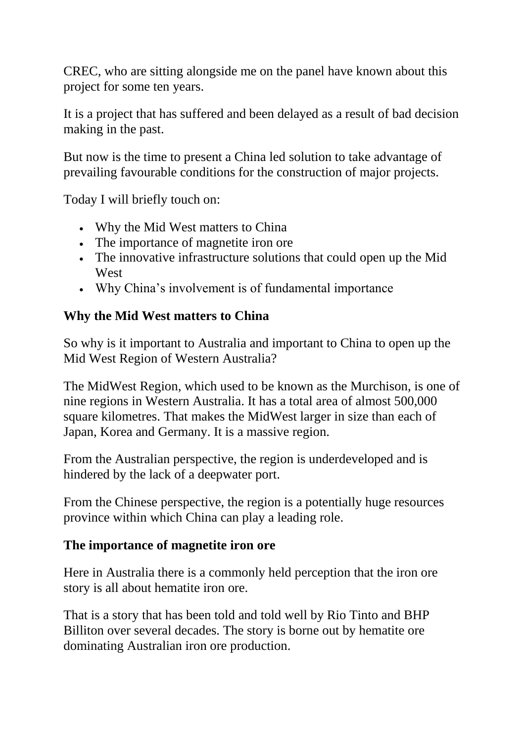CREC, who are sitting alongside me on the panel have known about this project for some ten years.

It is a project that has suffered and been delayed as a result of bad decision making in the past.

But now is the time to present a China led solution to take advantage of prevailing favourable conditions for the construction of major projects.

Today I will briefly touch on:

- Why the Mid West matters to China
- The importance of magnetite iron ore
- The innovative infrastructure solutions that could open up the Mid West
- Why China's involvement is of fundamental importance

#### **Why the Mid West matters to China**

So why is it important to Australia and important to China to open up the Mid West Region of Western Australia?

The MidWest Region, which used to be known as the Murchison, is one of nine regions in Western Australia. It has a total area of almost 500,000 square kilometres. That makes the MidWest larger in size than each of Japan, Korea and Germany. It is a massive region.

From the Australian perspective, the region is underdeveloped and is hindered by the lack of a deepwater port.

From the Chinese perspective, the region is a potentially huge resources province within which China can play a leading role.

# **The importance of magnetite iron ore**

Here in Australia there is a commonly held perception that the iron ore story is all about hematite iron ore.

That is a story that has been told and told well by Rio Tinto and BHP Billiton over several decades. The story is borne out by hematite ore dominating Australian iron ore production.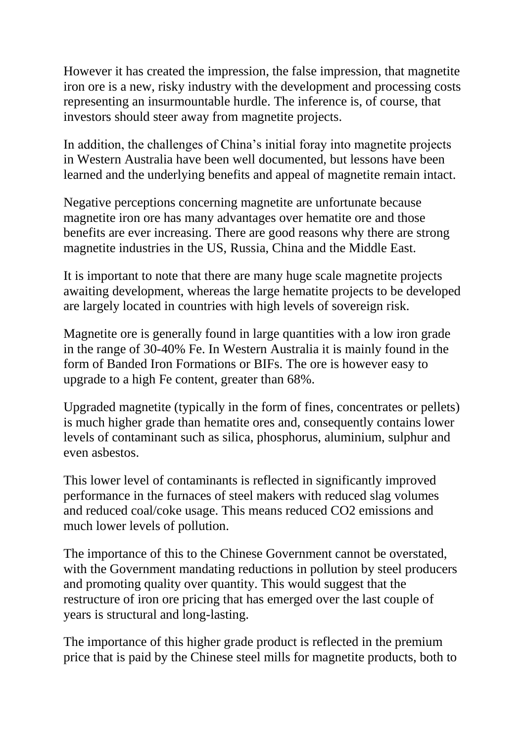However it has created the impression, the false impression, that magnetite iron ore is a new, risky industry with the development and processing costs representing an insurmountable hurdle. The inference is, of course, that investors should steer away from magnetite projects.

In addition, the challenges of China's initial foray into magnetite projects in Western Australia have been well documented, but lessons have been learned and the underlying benefits and appeal of magnetite remain intact.

Negative perceptions concerning magnetite are unfortunate because magnetite iron ore has many advantages over hematite ore and those benefits are ever increasing. There are good reasons why there are strong magnetite industries in the US, Russia, China and the Middle East.

It is important to note that there are many huge scale magnetite projects awaiting development, whereas the large hematite projects to be developed are largely located in countries with high levels of sovereign risk.

Magnetite ore is generally found in large quantities with a low iron grade in the range of 30-40% Fe. In Western Australia it is mainly found in the form of Banded Iron Formations or BIFs. The ore is however easy to upgrade to a high Fe content, greater than 68%.

Upgraded magnetite (typically in the form of fines, concentrates or pellets) is much higher grade than hematite ores and, consequently contains lower levels of contaminant such as silica, phosphorus, aluminium, sulphur and even asbestos.

This lower level of contaminants is reflected in significantly improved performance in the furnaces of steel makers with reduced slag volumes and reduced coal/coke usage. This means reduced CO2 emissions and much lower levels of pollution.

The importance of this to the Chinese Government cannot be overstated, with the Government mandating reductions in pollution by steel producers and promoting quality over quantity. This would suggest that the restructure of iron ore pricing that has emerged over the last couple of years is structural and long-lasting.

The importance of this higher grade product is reflected in the premium price that is paid by the Chinese steel mills for magnetite products, both to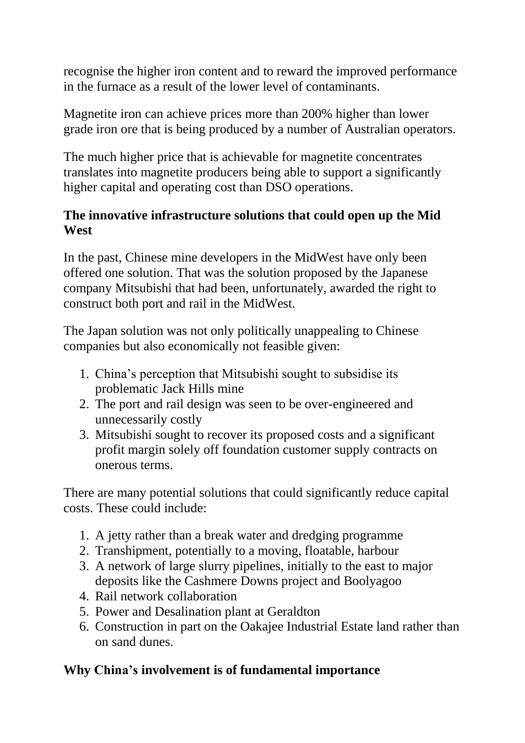recognise the higher iron content and to reward the improved performance in the furnace as a result of the lower level of contaminants.

Magnetite iron can achieve prices more than 200% higher than lower grade iron ore that is being produced by a number of Australian operators.

The much higher price that is achievable for magnetite concentrates translates into magnetite producers being able to support a significantly higher capital and operating cost than DSO operations.

#### **The innovative infrastructure solutions that could open up the Mid West**

In the past, Chinese mine developers in the MidWest have only been offered one solution. That was the solution proposed by the Japanese company Mitsubishi that had been, unfortunately, awarded the right to construct both port and rail in the MidWest.

The Japan solution was not only politically unappealing to Chinese companies but also economically not feasible given:

- 1. China's perception that Mitsubishi sought to subsidise its problematic Jack Hills mine
- 2. The port and rail design was seen to be over-engineered and unnecessarily costly
- 3. Mitsubishi sought to recover its proposed costs and a significant profit margin solely off foundation customer supply contracts on onerous terms.

There are many potential solutions that could significantly reduce capital costs. These could include:

- 1. A jetty rather than a break water and dredging programme
- 2. Transhipment, potentially to a moving, floatable, harbour
- 3. A network of large slurry pipelines, initially to the east to major deposits like the Cashmere Downs project and Boolyagoo
- 4. Rail network collaboration
- 5. Power and Desalination plant at Geraldton
- 6. Construction in part on the Oakajee Industrial Estate land rather than on sand dunes.

# **Why China's involvement is of fundamental importance**